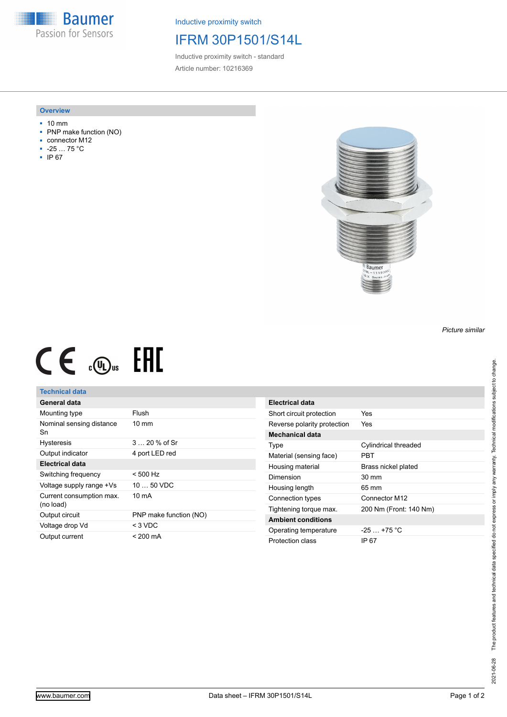**Baumer** Passion for Sensors

Inductive proximity switch

# IFRM 30P1501/S14L

Inductive proximity switch - standard Article number: 10216369

### **Overview**

- 10 mm
- PNP make function (NO)
- connector M12
- -25 … 75 °C
- IP 67



# $CE \mathcal{L}$  .  $\mathbb{G}_{\text{us}}$  FHI

## **Technical data**

| General data                          |                        |
|---------------------------------------|------------------------|
| Mounting type                         | Flush                  |
| Nominal sensing distance<br>Sn        | $10 \text{ mm}$        |
| <b>Hysteresis</b>                     | 3  20 % of Sr          |
| Output indicator                      | 4 port LED red         |
| Electrical data                       |                        |
| Switching frequency                   | $< 500$ Hz             |
| Voltage supply range +Vs              | $1050$ VDC             |
| Current consumption max.<br>(no load) | 10 mA                  |
| Output circuit                        | PNP make function (NO) |
| Voltage drop Vd                       | $<$ 3 VDC              |
| Output current                        | $< 200 \text{ mA}$     |

| <b>Electrical data</b>      |                        |
|-----------------------------|------------------------|
| Short circuit protection    | Yes                    |
| Reverse polarity protection | Yes                    |
| Mechanical data             |                        |
| Type                        | Cylindrical threaded   |
| Material (sensing face)     | PBT                    |
| Housing material            | Brass nickel plated    |
| Dimension                   | $30 \text{ mm}$        |
| Housing length              | 65 mm                  |
| Connection types            | Connector M12          |
| Tightening torque max.      | 200 Nm (Front: 140 Nm) |
| <b>Ambient conditions</b>   |                        |
| Operating temperature       | $-25+75 °C$            |
| Protection class            | IP 67                  |

#### *Picture similar*